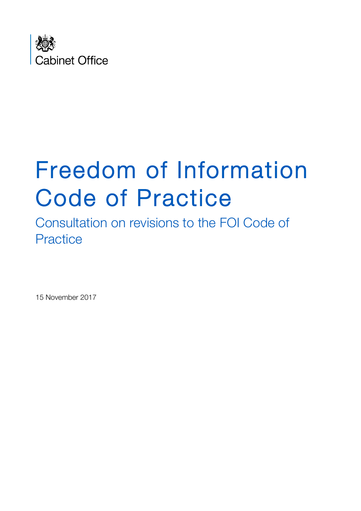

# Freedom of Information Code of Practice<br>Consultation on revisions to the FOI Code of

**Practice** 

15 November 2017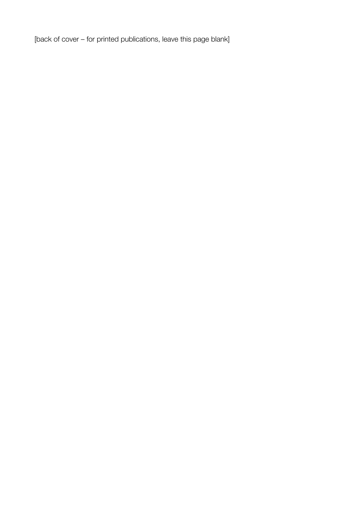[back of cover – for printed publications, leave this page blank]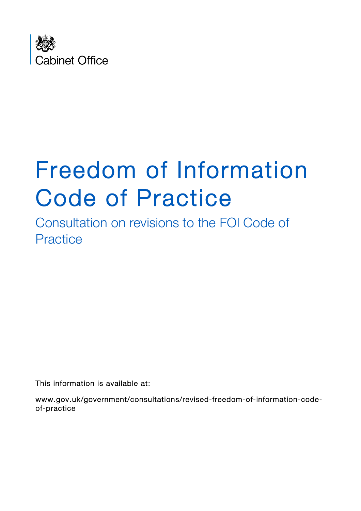

# Freedom of Information Code of Practice<br>Consultation on revisions to the FOI Code of

**Practice** 

This information is available at:

www.gov.uk/government/consultations/revised-freedom-of-information-codeof-practice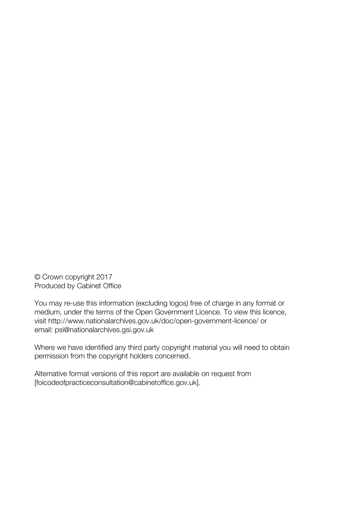© Crown copyright 2017 Produced by Cabinet Office

You may re-use this information (excluding logos) free of charge in any format or medium, under the terms of the Open Government Licence. To view this licence, visit http://www.nationalarchives.gov.uk/doc/open-government-licence/ or email: psi@nationalarchives.gsi.gov.uk

Where we have identified any third party copyright material you will need to obtain permission from the copyright holders concerned.

Alternative format versions of this report are available on request from [foicodeofpracticeconsultation@cabinetoffice.gov.uk].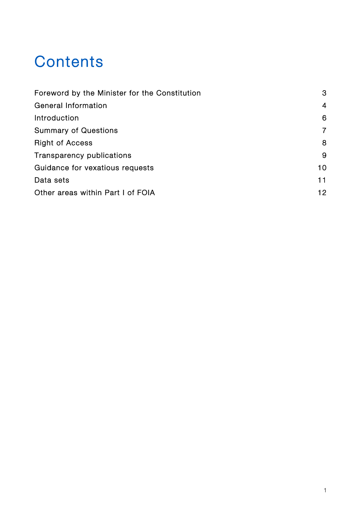# **Contents**

| Foreword by the Minister for the Constitution | 3<br>$\overline{4}$<br>6 |
|-----------------------------------------------|--------------------------|
| General Information                           |                          |
| Introduction                                  |                          |
| <b>Summary of Questions</b>                   | 7                        |
| <b>Right of Access</b>                        | 8                        |
| Transparency publications                     | 9                        |
| Guidance for vexatious requests               | 10                       |
| Data sets                                     | 11                       |
| Other areas within Part I of FOIA             | 12                       |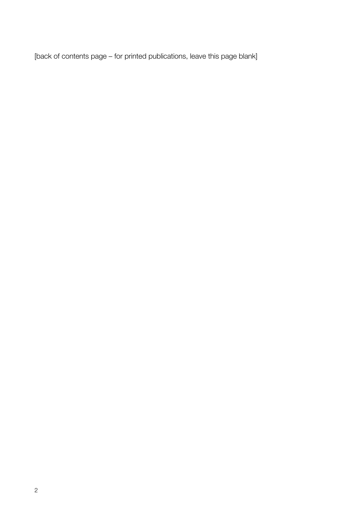[back of contents page – for printed publications, leave this page blank]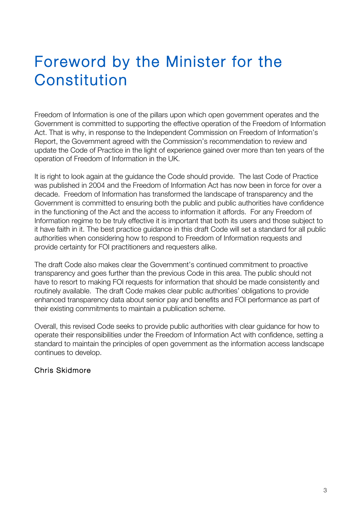# Foreword by the Minister for the Constitution

Freedom of Information is one of the pillars upon which open government operates and the Government is committed to supporting the effective operation of the Freedom of Information Act. That is why, in response to the Independent Commission on Freedom of Information's Report, the Government agreed with the Commission's recommendation to review and update the Code of Practice in the light of experience gained over more than ten years of the operation of Freedom of Information in the UK.

It is right to look again at the guidance the Code should provide. The last Code of Practice was published in 2004 and the Freedom of Information Act has now been in force for over a decade. Freedom of Information has transformed the landscape of transparency and the Government is committed to ensuring both the public and public authorities have confidence in the functioning of the Act and the access to information it affords. For any Freedom of Information regime to be truly effective it is important that both its users and those subject to it have faith in it. The best practice guidance in this draft Code will set a standard for all public authorities when considering how to respond to Freedom of Information requests and provide certainty for FOI practitioners and requesters alike.

The draft Code also makes clear the Government's continued commitment to proactive transparency and goes further than the previous Code in this area. The public should not have to resort to making FOI requests for information that should be made consistently and routinely available. The draft Code makes clear public authorities' obligations to provide enhanced transparency data about senior pay and benefits and FOI performance as part of their existing commitments to maintain a publication scheme.

Overall, this revised Code seeks to provide public authorities with clear guidance for how to operate their responsibilities under the Freedom of Information Act with confidence, setting a standard to maintain the principles of open government as the information access landscape continues to develop.

#### Chris Skidmore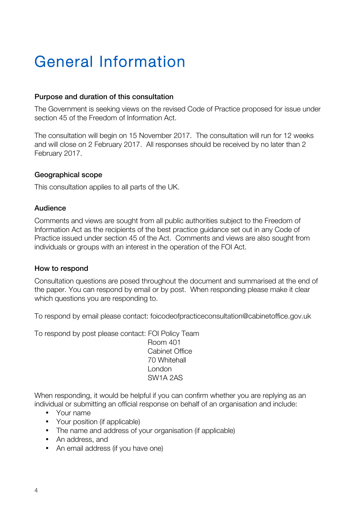# General Information

#### Purpose and duration of this consultation

The Government is seeking views on the revised Code of Practice proposed for issue under section 45 of the Freedom of Information Act.

The consultation will begin on 15 November 2017. The consultation will run for 12 weeks and will close on 2 February 2017. All responses should be received by no later than 2 February 2017.

#### Geographical scope

This consultation applies to all parts of the UK.

#### Audience

Comments and views are sought from all public authorities subject to the Freedom of Information Act as the recipients of the best practice guidance set out in any Code of Practice issued under section 45 of the Act. Comments and views are also sought from individuals or groups with an interest in the operation of the FOI Act.

#### How to respond

Consultation questions are posed throughout the document and summarised at the end of the paper. You can respond by email or by post. When responding please make it clear which questions you are responding to.

To respond by email please contact: foicodeofpracticeconsultation@cabinetoffice.gov.uk

To respond by post please contact: FOI Policy Team

 Room 401 Cabinet Office 70 Whitehall London SW1A 2AS

When responding, it would be helpful if you can confirm whether you are replying as an individual or submitting an official response on behalf of an organisation and include:

- Your name
- Your position (if applicable)
- The name and address of your organisation (if applicable)
- An address, and
- An email address (if you have one)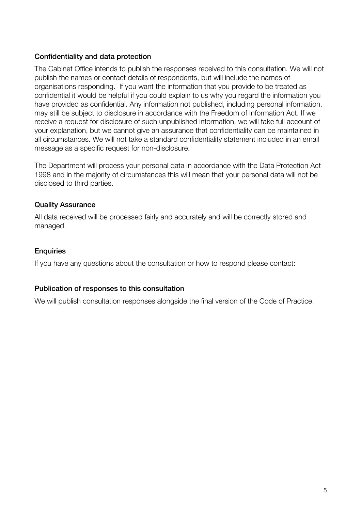#### Confidentiality and data protection

The Cabinet Office intends to publish the responses received to this consultation. We will not publish the names or contact details of respondents, but will include the names of organisations responding. If you want the information that you provide to be treated as confidential it would be helpful if you could explain to us why you regard the information you have provided as confidential. Any information not published, including personal information, may still be subject to disclosure in accordance with the Freedom of Information Act. If we receive a request for disclosure of such unpublished information, we will take full account of your explanation, but we cannot give an assurance that confidentiality can be maintained in all circumstances. We will not take a standard confidentiality statement included in an email message as a specific request for non-disclosure.

The Department will process your personal data in accordance with the Data Protection Act 1998 and in the majority of circumstances this will mean that your personal data will not be disclosed to third parties.

#### Quality Assurance

All data received will be processed fairly and accurately and will be correctly stored and managed.

#### **Enquiries**

If you have any questions about the consultation or how to respond please contact:

#### Publication of responses to this consultation

We will publish consultation responses alongside the final version of the Code of Practice.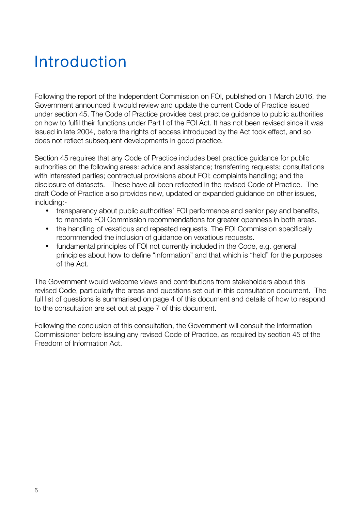# Introduction

Following the report of the Independent Commission on FOI, published on 1 March 2016, the Government announced it would review and update the current Code of Practice issued under section 45. The Code of Practice provides best practice guidance to public authorities on how to fulfil their functions under Part I of the FOI Act. It has not been revised since it was issued in late 2004, before the rights of access introduced by the Act took effect, and so does not reflect subsequent developments in good practice.

Section 45 requires that any Code of Practice includes best practice guidance for public authorities on the following areas: advice and assistance; transferring requests; consultations with interested parties; contractual provisions about FOI; complaints handling; and the disclosure of datasets. These have all been reflected in the revised Code of Practice. The draft Code of Practice also provides new, updated or expanded guidance on other issues, including:-

- transparency about public authorities' FOI performance and senior pay and benefits, to mandate FOI Commission recommendations for greater openness in both areas.
- the handling of vexatious and repeated requests. The FOI Commission specifically recommended the inclusion of guidance on vexatious requests.
- fundamental principles of FOI not currently included in the Code, e.g. general principles about how to define "information" and that which is "held" for the purposes of the Act.

The Government would welcome views and contributions from stakeholders about this revised Code, particularly the areas and questions set out in this consultation document. The full list of questions is summarised on page 4 of this document and details of how to respond to the consultation are set out at page 7 of this document.

Following the conclusion of this consultation, the Government will consult the Information Commissioner before issuing any revised Code of Practice, as required by section 45 of the Freedom of Information Act.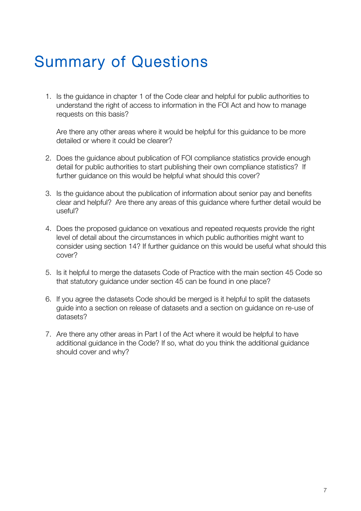# Summary of Questions

1. Is the guidance in chapter 1 of the Code clear and helpful for public authorities to understand the right of access to information in the FOI Act and how to manage requests on this basis?

Are there any other areas where it would be helpful for this guidance to be more detailed or where it could be clearer?

- 2. Does the guidance about publication of FOI compliance statistics provide enough detail for public authorities to start publishing their own compliance statistics? If further guidance on this would be helpful what should this cover?
- 3. Is the guidance about the publication of information about senior pay and benefits clear and helpful? Are there any areas of this guidance where further detail would be useful?
- 4. Does the proposed guidance on vexatious and repeated requests provide the right level of detail about the circumstances in which public authorities might want to consider using section 14? If further guidance on this would be useful what should this cover?
- 5. Is it helpful to merge the datasets Code of Practice with the main section 45 Code so that statutory guidance under section 45 can be found in one place?
- 6. If you agree the datasets Code should be merged is it helpful to split the datasets guide into a section on release of datasets and a section on guidance on re-use of datasets?
- 7. Are there any other areas in Part I of the Act where it would be helpful to have additional guidance in the Code? If so, what do you think the additional guidance should cover and why?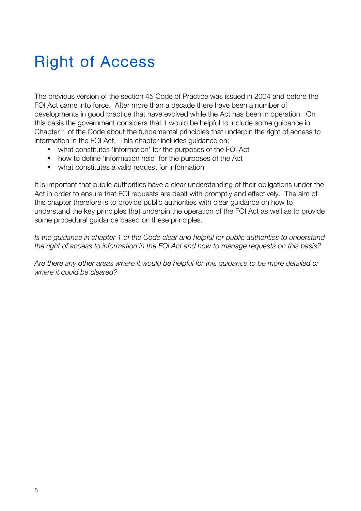# Right of Access

The previous version of the section 45 Code of Practice was issued in 2004 and before the FOI Act came into force. After more than a decade there have been a number of developments in good practice that have evolved while the Act has been in operation. On this basis the government considers that it would be helpful to include some guidance in Chapter 1 of the Code about the fundamental principles that underpin the right of access to information in the FOI Act. This chapter includes guidance on:

- what constitutes 'information' for the purposes of the FOI Act
- how to define 'information held' for the purposes of the Act
- what constitutes a valid request for information

It is important that public authorities have a clear understanding of their obligations under the Act in order to ensure that FOI requests are dealt with promptly and effectively. The aim of this chapter therefore is to provide public authorities with clear guidance on how to understand the key principles that underpin the operation of the FOI Act as well as to provide some procedural guidance based on these principles.

*Is the guidance in chapter 1 of the Code clear and helpful for public authorities to understand the right of access to information in the FOI Act and how to manage requests on this basis?*

*Are there any other areas where it would be helpful for this guidance to be more detailed or where it could be cleared?*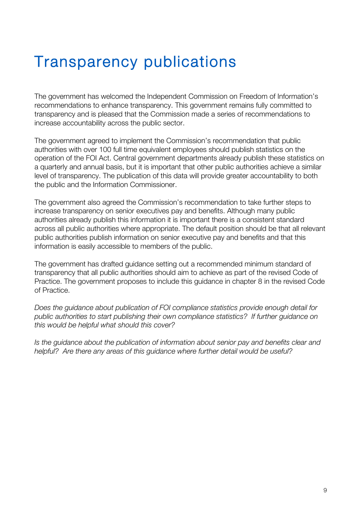### Transparency publications

The government has welcomed the Independent Commission on Freedom of Information's recommendations to enhance transparency. This government remains fully committed to transparency and is pleased that the Commission made a series of recommendations to increase accountability across the public sector.

The government agreed to implement the Commission's recommendation that public authorities with over 100 full time equivalent employees should publish statistics on the operation of the FOI Act. Central government departments already publish these statistics on a quarterly and annual basis, but it is important that other public authorities achieve a similar level of transparency. The publication of this data will provide greater accountability to both the public and the Information Commissioner.

The government also agreed the Commission's recommendation to take further steps to increase transparency on senior executives pay and benefits. Although many public authorities already publish this information it is important there is a consistent standard across all public authorities where appropriate. The default position should be that all relevant public authorities publish information on senior executive pay and benefits and that this information is easily accessible to members of the public.

The government has drafted guidance setting out a recommended minimum standard of transparency that all public authorities should aim to achieve as part of the revised Code of Practice. The government proposes to include this guidance in chapter 8 in the revised Code of Practice.

*Does the guidance about publication of FOI compliance statistics provide enough detail for public authorities to start publishing their own compliance statistics? If further guidance on this would be helpful what should this cover?*

*Is the guidance about the publication of information about senior pay and benefits clear and helpful? Are there any areas of this guidance where further detail would be useful?*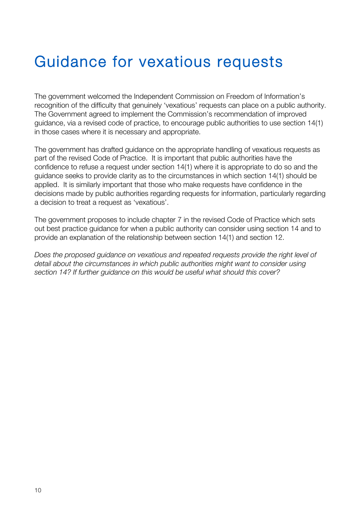# Guidance for vexatious requests

The government welcomed the Independent Commission on Freedom of Information's recognition of the difficulty that genuinely 'vexatious' requests can place on a public authority. The Government agreed to implement the Commission's recommendation of improved guidance, via a revised code of practice, to encourage public authorities to use section 14(1) in those cases where it is necessary and appropriate.

The government has drafted guidance on the appropriate handling of vexatious requests as part of the revised Code of Practice. It is important that public authorities have the confidence to refuse a request under section 14(1) where it is appropriate to do so and the guidance seeks to provide clarity as to the circumstances in which section 14(1) should be applied. It is similarly important that those who make requests have confidence in the decisions made by public authorities regarding requests for information, particularly regarding a decision to treat a request as 'vexatious'.

The government proposes to include chapter 7 in the revised Code of Practice which sets out best practice guidance for when a public authority can consider using section 14 and to provide an explanation of the relationship between section 14(1) and section 12.

*Does the proposed guidance on vexatious and repeated requests provide the right level of detail about the circumstances in which public authorities might want to consider using section 14? If further guidance on this would be useful what should this cover?*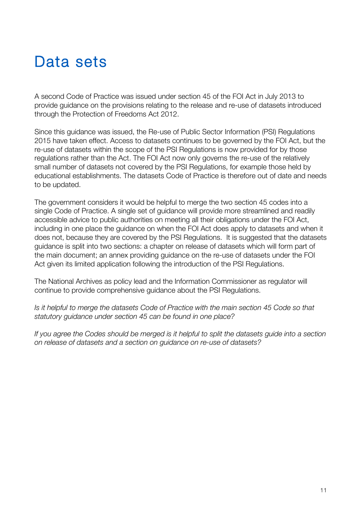### Data sets

A second Code of Practice was issued under section 45 of the FOI Act in July 2013 to provide guidance on the provisions relating to the release and re-use of datasets introduced through the Protection of Freedoms Act 2012.

Since this guidance was issued, the Re-use of Public Sector Information (PSI) Regulations 2015 have taken effect. Access to datasets continues to be governed by the FOI Act, but the re-use of datasets within the scope of the PSI Regulations is now provided for by those regulations rather than the Act. The FOI Act now only governs the re-use of the relatively small number of datasets not covered by the PSI Regulations, for example those held by educational establishments. The datasets Code of Practice is therefore out of date and needs to be updated.

The government considers it would be helpful to merge the two section 45 codes into a single Code of Practice. A single set of guidance will provide more streamlined and readily accessible advice to public authorities on meeting all their obligations under the FOI Act, including in one place the guidance on when the FOI Act does apply to datasets and when it does not, because they are covered by the PSI Regulations. It is suggested that the datasets guidance is split into two sections: a chapter on release of datasets which will form part of the main document; an annex providing guidance on the re-use of datasets under the FOI Act given its limited application following the introduction of the PSI Regulations.

The National Archives as policy lead and the Information Commissioner as regulator will continue to provide comprehensive guidance about the PSI Regulations.

*Is it helpful to merge the datasets Code of Practice with the main section 45 Code so that statutory guidance under section 45 can be found in one place?* 

*If you agree the Codes should be merged is it helpful to split the datasets guide into a section on release of datasets and a section on guidance on re-use of datasets?*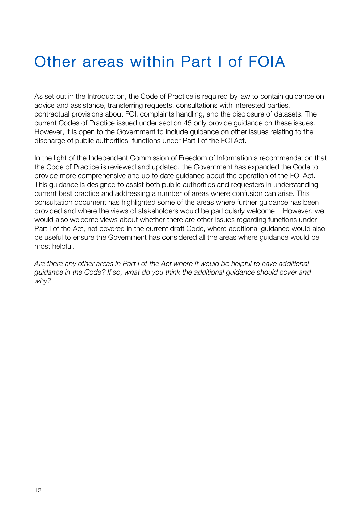# Other areas within Part I of FOIA

As set out in the Introduction, the Code of Practice is required by law to contain guidance on advice and assistance, transferring requests, consultations with interested parties, contractual provisions about FOI, complaints handling, and the disclosure of datasets. The current Codes of Practice issued under section 45 only provide guidance on these issues. However, it is open to the Government to include guidance on other issues relating to the discharge of public authorities' functions under Part I of the FOI Act.

In the light of the Independent Commission of Freedom of Information's recommendation that the Code of Practice is reviewed and updated, the Government has expanded the Code to provide more comprehensive and up to date guidance about the operation of the FOI Act. This guidance is designed to assist both public authorities and requesters in understanding current best practice and addressing a number of areas where confusion can arise. This consultation document has highlighted some of the areas where further guidance has been provided and where the views of stakeholders would be particularly welcome. However, we would also welcome views about whether there are other issues regarding functions under Part I of the Act, not covered in the current draft Code, where additional guidance would also be useful to ensure the Government has considered all the areas where guidance would be most helpful.

*Are there any other areas in Part I of the Act where it would be helpful to have additional guidance in the Code? If so, what do you think the additional guidance should cover and why?*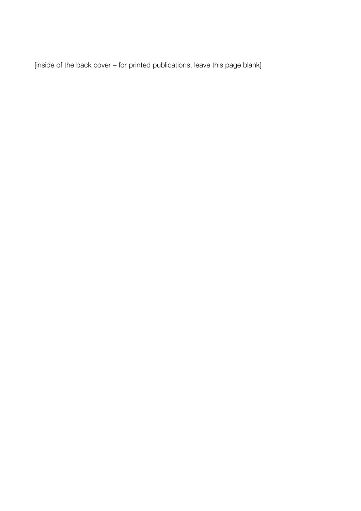[inside of the back cover – for printed publications, leave this page blank]